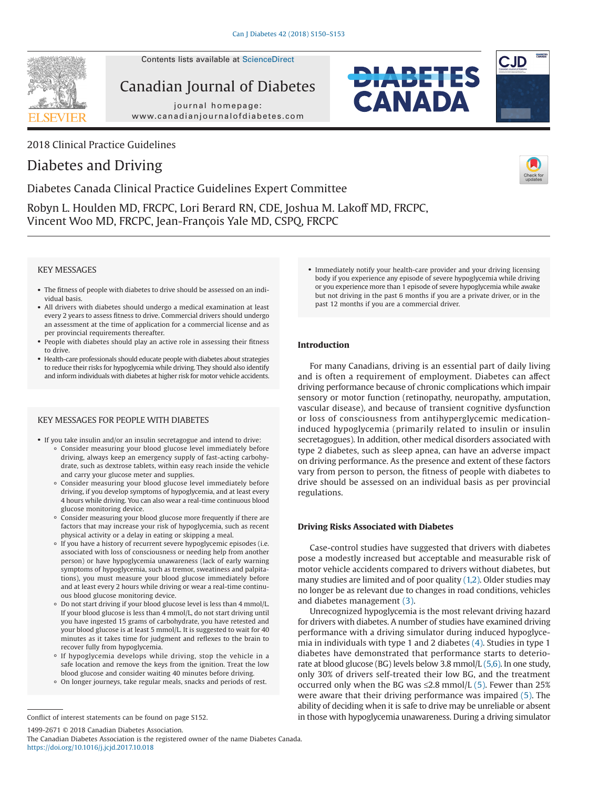

Contents lists available at ScienceDirect

Canadian Journal of Diabetes

journal homepage: www.canadianjournalofdiabetes.com





## 2018 Clinical Practice Guidelines

# Diabetes and Driving

Diabetes Canada Clinical Practice Guidelines Expert Committee

Robyn L. Houlden MD, FRCPC, Lori Berard RN, CDE, Joshua M. Lakoff MD, FRCPC, Vincent Woo MD, FRCPC, Jean-François Yale MD, CSPQ, FRCPC

## KEY MESSAGES

- The fitness of people with diabetes to drive should be assessed on an individual basis.
- All drivers with diabetes should undergo a medical examination at least every 2 years to assess fitness to drive. Commercial drivers should undergo an assessment at the time of application for a commercial license and as per provincial requirements thereafter.
- People with diabetes should play an active role in assessing their fitness to drive.
- Health-care professionals should educate people with diabetes about strategies to reduce their risks for hypoglycemia while driving. They should also identify and inform individuals with diabetes at higher risk for motor vehicle accidents.

## KEY MESSAGES FOR PEOPLE WITH DIABETES

- If you take insulin and/or an insulin secretagogue and intend to drive: ◦ Consider measuring your blood glucose level immediately before driving, always keep an emergency supply of fast-acting carbohydrate, such as dextrose tablets, within easy reach inside the vehicle and carry your glucose meter and supplies.
	- Consider measuring your blood glucose level immediately before driving, if you develop symptoms of hypoglycemia, and at least every 4 hours while driving. You can also wear a real-time continuous blood glucose monitoring device.
	- Consider measuring your blood glucose more frequently if there are factors that may increase your risk of hypoglycemia, such as recent physical activity or a delay in eating or skipping a meal.
	- If you have a history of recurrent severe hypoglycemic episodes (i.e. associated with loss of consciousness or needing help from another person) or have hypoglycemia unawareness (lack of early warning symptoms of hypoglycemia, such as tremor, sweatiness and palpitations), you must measure your blood glucose immediately before and at least every 2 hours while driving or wear a real-time continuous blood glucose monitoring device.
	- Do not start driving if your blood glucose level is less than 4 mmol/L. If your blood glucose is less than 4 mmol/L, do not start driving until you have ingested 15 grams of carbohydrate, you have retested and your blood glucose is at least 5 mmol/L. It is suggested to wait for 40 minutes as it takes time for judgment and reflexes to the brain to recover fully from hypoglycemia.
	- If hypoglycemia develops while driving, stop the vehicle in a safe location and remove the keys from the ignition. Treat the low blood glucose and consider waiting 40 minutes before driving.
	- On longer journeys, take regular meals, snacks and periods of rest.

1499-2671 © 2018 Canadian Diabetes Association.

• Immediately notify your health-care provider and your driving licensing body if you experience any episode of severe hypoglycemia while driving or you experience more than 1 episode of severe hypoglycemia while awake but not driving in the past 6 months if you are a private driver, or in the past 12 months if you are a commercial driver.

## **Introduction**

For many Canadians, driving is an essential part of daily living and is often a requirement of employment. Diabetes can affect driving performance because of chronic complications which impair sensory or motor function (retinopathy, neuropathy, amputation, vascular disease), and because of transient cognitive dysfunction or loss of consciousness from antihyperglycemic medicationinduced hypoglycemia (primarily related to insulin or insulin secretagogues). In addition, other medical disorders associated with type 2 diabetes, such as sleep apnea, can have an adverse impact on driving performance. As the presence and extent of these factors vary from person to person, the fitness of people with diabetes to drive should be assessed on an individual basis as per provincial regulations.

## **Driving Risks Associated with Diabetes**

Case-control studies have suggested that drivers with diabetes pose a modestly increased but acceptable and measurable risk of motor vehicle accidents compared to drivers without diabetes, but many studies are limited and of poor quality (1,2). Older studies may no longer be as relevant due to changes in road conditions, vehicles and diabetes management (3).

Unrecognized hypoglycemia is the most relevant driving hazard for drivers with diabetes. A number of studies have examined driving performance with a driving simulator during induced hypoglycemia in individuals with type 1 and 2 diabetes (4). Studies in type 1 diabetes have demonstrated that performance starts to deteriorate at blood glucose (BG) levels below 3.8 mmol/L (5,6). In one study, only 30% of drivers self-treated their low BG, and the treatment occurred only when the BG was  $\leq$ 2.8 mmol/L (5). Fewer than 25% were aware that their driving performance was impaired (5). The ability of deciding when it is safe to drive may be unreliable or absent Conflict of interest statements can be found on page S152. **in those with hypoglycemia unawareness. During a driving simulator** 



The Canadian Diabetes Association is the registered owner of the name Diabetes Canada. https://doi.org/10.1016/j.jcjd.2017.10.018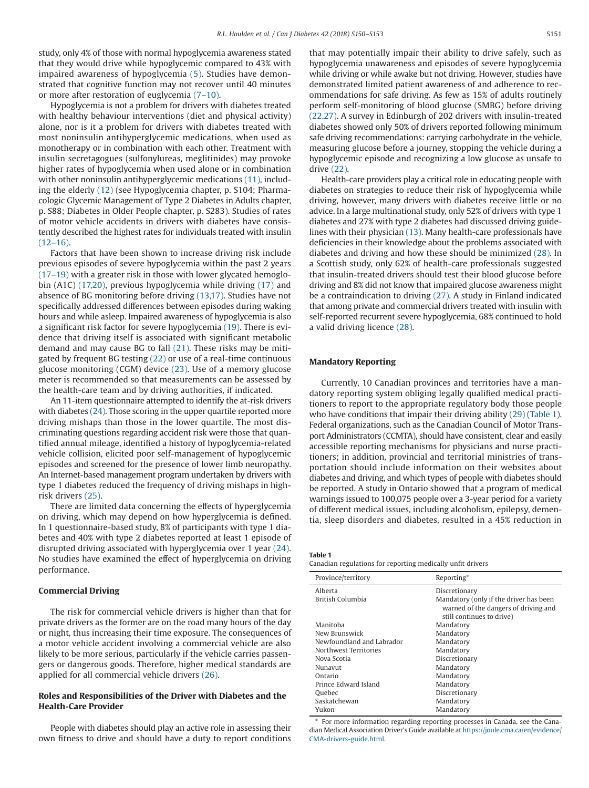study, only 4% of those with normal hypoglycemia awareness stated that they would drive while hypoglycemic compared to 43% with impaired awareness of hypoglycemia (5). Studies have demonstrated that cognitive function may not recover until 40 minutes or more after restoration of euglycemia (7–10).

Hypoglycemia is not a problem for drivers with diabetes treated with healthy behaviour interventions (diet and physical activity) alone, nor is it a problem for drivers with diabetes treated with most noninsulin antihyperglycemic medications, when used as monotherapy or in combination with each other. Treatment with insulin secretagogues (sulfonylureas, meglitinides) may provoke higher rates of hypoglycemia when used alone or in combination with other noninsulin antihyperglycemic medications (11), including the elderly (12) (see Hypoglycemia chapter, p. S104; Pharmacologic Glycemic Management of Type 2 Diabetes in Adults chapter, p. S88; Diabetes in Older People chapter, p. S283). Studies of rates of motor vehicle accidents in drivers with diabetes have consistently described the highest rates for individuals treated with insulin  $(12-16)$ .

Factors that have been shown to increase driving risk include previous episodes of severe hypoglycemia within the past 2 years (17–19) with a greater risk in those with lower glycated hemoglobin (A1C) (17,20), previous hypoglycemia while driving (17) and absence of BG monitoring before driving (13,17). Studies have not specifically addressed differences between episodes during waking hours and while asleep. Impaired awareness of hypoglycemia is also a significant risk factor for severe hypoglycemia (19). There is evidence that driving itself is associated with significant metabolic demand and may cause BG to fall (21). These risks may be mitigated by frequent BG testing (22) or use of a real-time continuous glucose monitoring (CGM) device (23). Use of a memory glucose meter is recommended so that measurements can be assessed by the health-care team and by driving authorities, if indicated.

An 11-item questionnaire attempted to identify the at-risk drivers with diabetes  $(24)$ . Those scoring in the upper quartile reported more driving mishaps than those in the lower quartile. The most discriminating questions regarding accident risk were those that quantified annual mileage, identified a history of hypoglycemia-related vehicle collision, elicited poor self-management of hypoglycemic episodes and screened for the presence of lower limb neuropathy. An Internet-based management program undertaken by drivers with type 1 diabetes reduced the frequency of driving mishaps in highrisk drivers (25).

There are limited data concerning the effects of hyperglycemia on driving, which may depend on how hyperglycemia is defined. In 1 questionnaire-based study, 8% of participants with type 1 diabetes and 40% with type 2 diabetes reported at least 1 episode of disrupted driving associated with hyperglycemia over 1 year (24). No studies have examined the effect of hyperglycemia on driving performance.

## **Commercial Driving**

The risk for commercial vehicle drivers is higher than that for private drivers as the former are on the road many hours of the day or night, thus increasing their time exposure. The consequences of a motor vehicle accident involving a commercial vehicle are also likely to be more serious, particularly if the vehicle carries passengers or dangerous goods. Therefore, higher medical standards are applied for all commercial vehicle drivers (26).

## **Roles and Responsibilities of the Driver with Diabetes and the Health-Care Provider**

People with diabetes should play an active role in assessing their own fitness to drive and should have a duty to report conditions that may potentially impair their ability to drive safely, such as hypoglycemia unawareness and episodes of severe hypoglycemia while driving or while awake but not driving. However, studies have demonstrated limited patient awareness of and adherence to recommendations for safe driving. As few as 15% of adults routinely perform self-monitoring of blood glucose (SMBG) before driving (22,27). A survey in Edinburgh of 202 drivers with insulin-treated diabetes showed only 50% of drivers reported following minimum safe driving recommendations: carrying carbohydrate in the vehicle, measuring glucose before a journey, stopping the vehicle during a hypoglycemic episode and recognizing a low glucose as unsafe to drive (22).

Health-care providers play a critical role in educating people with diabetes on strategies to reduce their risk of hypoglycemia while driving, however, many drivers with diabetes receive little or no advice. In a large multinational study, only 52% of drivers with type 1 diabetes and 27% with type 2 diabetes had discussed driving guidelines with their physician (13). Many health-care professionals have deficiencies in their knowledge about the problems associated with diabetes and driving and how these should be minimized (28). In a Scottish study, only 62% of health-care professionals suggested that insulin-treated drivers should test their blood glucose before driving and 8% did not know that impaired glucose awareness might be a contraindication to driving (27). A study in Finland indicated that among private and commercial drivers treated with insulin with self-reported recurrent severe hypoglycemia, 68% continued to hold a valid driving licence (28).

#### **Mandatory Reporting**

Currently, 10 Canadian provinces and territories have a mandatory reporting system obliging legally qualified medical practitioners to report to the appropriate regulatory body those people who have conditions that impair their driving ability (29) (Table 1). Federal organizations, such as the Canadian Council of Motor Transport Administrators (CCMTA), should have consistent, clear and easily accessible reporting mechanisms for physicians and nurse practitioners; in addition, provincial and territorial ministries of transportation should include information on their websites about diabetes and driving, and which types of people with diabetes should be reported. A study in Ontario showed that a program of medical warnings issued to 100,075 people over a 3-year period for a variety of different medical issues, including alcoholism, epilepsy, dementia, sleep disorders and diabetes, resulted in a 45% reduction in

| <b>Table 1</b> |                                                            |  |  |  |
|----------------|------------------------------------------------------------|--|--|--|
|                | Canadian regulations for reporting medically unfit drivers |  |  |  |

| Province/territory        | Reporting*                                                        |  |  |
|---------------------------|-------------------------------------------------------------------|--|--|
| Alberta                   | Discretionary                                                     |  |  |
| British Columbia          | Mandatory (only if the driver has been                            |  |  |
|                           | warned of the dangers of driving and<br>still continues to drive) |  |  |
| Manitoba                  | Mandatory                                                         |  |  |
| New Brunswick             | Mandatory                                                         |  |  |
| Newfoundland and Labrador | Mandatory                                                         |  |  |
| Northwest Territories     | Mandatory                                                         |  |  |
| Nova Scotia               | Discretionary                                                     |  |  |
| Nunavut                   | Mandatory                                                         |  |  |
| Ontario                   | Mandatory                                                         |  |  |
| Prince Edward Island      | Mandatory                                                         |  |  |
| Ouebec                    | Discretionary                                                     |  |  |
| Saskatchewan              | Mandatory                                                         |  |  |
| Yukon                     | Mandatory                                                         |  |  |

For more information regarding reporting processes in Canada, see the Canadian Medical Association Driver's Guide available at https://joule.cma.ca/en/evidence/ CMA-drivers-guide.html.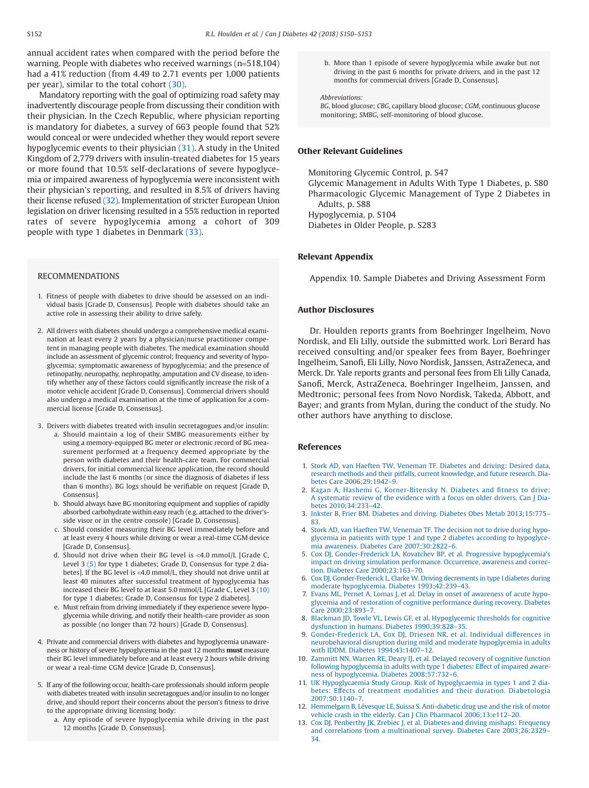annual accident rates when compared with the period before the warning. People with diabetes who received warnings (n=518,104) had a 41% reduction (from 4.49 to 2.71 events per 1,000 patients per year), similar to the total cohort (30).

Mandatory reporting with the goal of optimizing road safety may inadvertently discourage people from discussing their condition with their physician. In the Czech Republic, where physician reporting is mandatory for diabetes, a survey of 663 people found that 52% would conceal or were undecided whether they would report severe hypoglycemic events to their physician (31). A study in the United Kingdom of 2,779 drivers with insulin-treated diabetes for 15 years or more found that 10.5% self-declarations of severe hypoglycemia or impaired awareness of hypoglycemia were inconsistent with their physician's reporting, and resulted in 8.5% of drivers having their license refused (32). Implementation of stricter European Union legislation on driver licensing resulted in a 55% reduction in reported rates of severe hypoglycemia among a cohort of 309 people with type 1 diabetes in Denmark (33).

#### RECOMMENDATIONS

- 1. Fitness of people with diabetes to drive should be assessed on an individual basis [Grade D, Consensus]. People with diabetes should take an active role in assessing their ability to drive safely.
- 2. All drivers with diabetes should undergo a comprehensive medical examination at least every 2 years by a physician/nurse practitioner competent in managing people with diabetes. The medical examination should include an assessment of glycemic control; frequency and severity of hypoglycemia; symptomatic awareness of hypoglycemia; and the presence of retinopathy, neuropathy, nephropathy, amputation and CV disease, to identify whether any of these factors could significantly increase the risk of a motor vehicle accident [Grade D, Consensus]. Commercial drivers should also undergo a medical examination at the time of application for a commercial license [Grade D, Consensus].
- 3. Drivers with diabetes treated with insulin secretagogues and/or insulin:
	- a. Should maintain a log of their SMBG measurements either by using a memory-equipped BG meter or electronic record of BG measurement performed at a frequency deemed appropriate by the person with diabetes and their health-care team. For commercial drivers, for initial commercial licence application, the record should include the last 6 months (or since the diagnosis of diabetes if less than 6 months). BG logs should be verifiable on request [Grade D, Consensus].
	- b. Should always have BG monitoring equipment and supplies of rapidly absorbed carbohydrate within easy reach (e.g. attached to the driver'sside visor or in the centre console) [Grade D, Consensus].
	- c. Should consider measuring their BG level immediately before and at least every 4 hours while driving or wear a real-time CGM device [Grade D, Consensus].
	- d. Should not drive when their BG level is <4.0 mmol/L [Grade C, Level 3 (5) for type 1 diabetes; Grade D, Consensus for type 2 diabetes]. If the BG level is <4.0 mmol/L, they should not drive until at least 40 minutes after successful treatment of hypoglycemia has increased their BG level to at least 5.0 mmol/L [Grade C, Level 3 (10) for type 1 diabetes; Grade D, Consensus for type 2 diabetes].
	- e. Must refrain from driving immediately if they experience severe hypoglycemia while driving, and notify their health-care provider as soon as possible (no longer than 72 hours) [Grade D, Consensus].
- 4. Private and commercial drivers with diabetes and hypoglycemia unawareness or history of severe hypoglycemia in the past 12 months **must** measure their BG level immediately before and at least every 2 hours while driving or wear a real-time CGM device [Grade D, Consensus].
- 5. If any of the following occur, health-care professionals should inform people with diabetes treated with insulin secretagogues and/or insulin to no longer drive, and should report their concerns about the person's fitness to drive to the appropriate driving licensing body:
	- a. Any episode of severe hypoglycemia while driving in the past 12 months [Grade D, Consensus].

b. More than 1 episode of severe hypoglycemia while awake but not driving in the past 6 months for private drivers, and in the past 12 months for commercial drivers [Grade D, Consensus].

*Abbreviations:*

*BG*, blood glucose; *CBG*, capillary blood glucose; *CGM*, continuous glucose monitoring; *SMBG*, self-monitoring of blood glucose.

#### **Other Relevant Guidelines**

Monitoring Glycemic Control, p. S47 Glycemic Management in Adults With Type 1 Diabetes, p. S80 Pharmacologic Glycemic Management of Type 2 Diabetes in Adults, p. S88 Hypoglycemia, p. S104 Diabetes in Older People, p. S283

## **Relevant Appendix**

Appendix 10. Sample Diabetes and Driving Assessment Form

## **Author Disclosures**

Dr. Houlden reports grants from Boehringer Ingelheim, Novo Nordisk, and Eli Lilly, outside the submitted work. Lori Berard has received consulting and/or speaker fees from Bayer, Boehringer Ingelheim, Sanofi, Eli Lilly, Novo Nordisk, Janssen, AstraZeneca, and Merck. Dr. Yale reports grants and personal fees from Eli Lilly Canada, Sanofi, Merck, AstraZeneca, Boehringer Ingelheim, Janssen, and Medtronic; personal fees from Novo Nordisk, Takeda, Abbott, and Bayer; and grants from Mylan, during the conduct of the study. No other authors have anything to disclose.

## **References**

- 1. Stork AD, van Haeften TW, Veneman TF. Diabetes and driving: Desired data, research methods and their pitfalls, current knowledge, and future research. Diabetes Care 2006;29:1942–9.
- 2. Kagan A, Hashemi G, Korner-Bitensky N. Diabetes and fitness to drive: A systematic review of the evidence with a focus on older drivers. Can J Diabetes 2010;34:233–42.
- 3. Inkster B, Frier BM. Diabetes and driving. Diabetes Obes Metab 2013;15:775– 83.
- 4. Stork AD, van Haeften TW, Veneman TF. The decision not to drive during hypoglycemia in patients with type 1 and type 2 diabetes according to hypoglycemia awareness. Diabetes Care 2007;30:2822–6.
- 5. Cox DJ, Gonder-Frederick LA, Kovatchev BP, et al. Progressive hypoglycemia's impact on driving simulation performance. Occurrence, awareness and correction. Diabetes Care 2000;23:163–70.
- 6. Cox DJ, Gonder-Frederick L, Clarke W. Driving decrements in type I diabetes during moderate hypoglycemia. Diabetes 1993;42:239–43.
- 7. Evans ML, Pernet A, Lomas J, et al. Delay in onset of awareness of acute hypoglycemia and of restoration of cognitive performance during recovery. Diabetes Care 2000;23:893–7.
- 8. Blackman JD, Towle VL, Lewis GF, et al. Hypoglycemic thresholds for cognitive dysfunction in humans. Diabetes 1990;39:828–35.
- 9. Gonder-Frederick LA, Cox DJ, Driesen NR, et al. Individual differences in neurobehavioral disruption during mild and moderate hypoglycemia in adults with IDDM. Diabetes 1994;43:1407–12.
- 10. Zammitt NN, Warren RE, Deary IJ, et al. Delayed recovery of cognitive function following hypoglycemia in adults with type 1 diabetes: Effect of impaired awareness of hypoglycemia. Diabetes 2008;57:732–6.
- 11. UK Hypoglycaemia Study Group. Risk of hypoglycaemia in types 1 and 2 diabetes: Effects of treatment modalities and their duration. Diabetologia 2007;50:1140–7.
- 12. Hemmelgarn B, Lévesque LE, Suissa S. Anti-diabetic drug use and the risk of motor vehicle crash in the elderly. Can J Clin Pharmacol 2006;13:e112–20.
- 13. Cox DJ, Penberthy JK, Zrebiec J, et al. Diabetes and driving mishaps: Frequency and correlations from a multinational survey. Diabetes Care 2003;26:2329– 34.